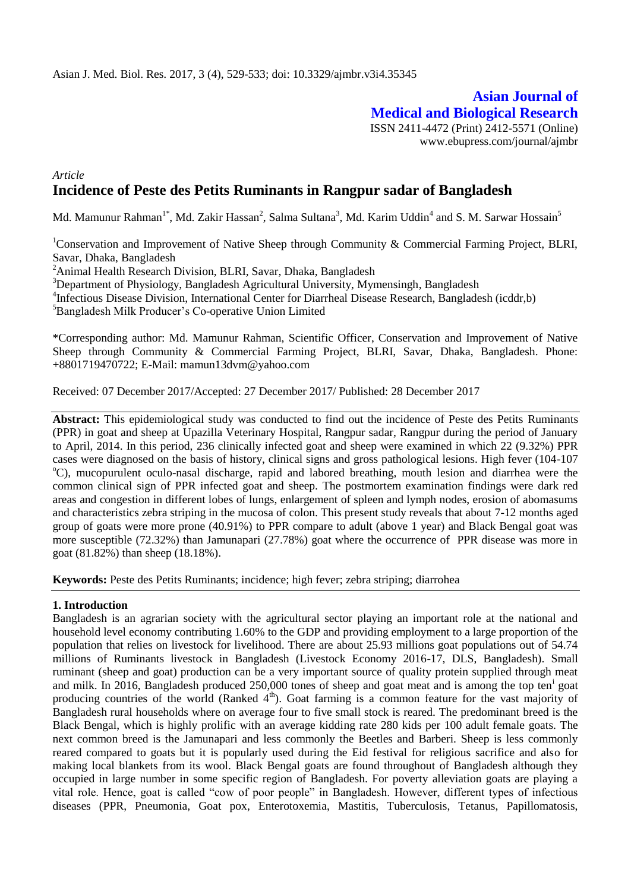**Asian Journal of Medical and Biological Research** ISSN 2411-4472 (Print) 2412-5571 (Online) www.ebupress.com/journal/ajmbr

# *Article* **Incidence of Peste des Petits Ruminants in Rangpur sadar of Bangladesh**

Md. Mamunur Rahman $^{\text{1*}},$  Md. Zakir Hassan $^2$ , Salma Sultana $^3$ , Md. Karim Uddin $^4$  and S. M. Sarwar Hossain $^5$ 

<sup>1</sup>Conservation and Improvement of Native Sheep through Community & Commercial Farming Project, BLRI, Savar, Dhaka, Bangladesh

<sup>2</sup>Animal Health Research Division, BLRI, Savar, Dhaka, Bangladesh

<sup>3</sup>Department of Physiology, Bangladesh Agricultural University, Mymensingh, Bangladesh

<sup>4</sup>Infectious Disease Division, International Center for Diarrheal Disease Research, Bangladesh (icddr,b)

<sup>5</sup>Bangladesh Milk Producer's Co-operative Union Limited

\*Corresponding author: Md. Mamunur Rahman, Scientific Officer, Conservation and Improvement of Native Sheep through Community & Commercial Farming Project, BLRI, Savar, Dhaka, Bangladesh. Phone: +8801719470722; E-Mail: mamun13dvm@yahoo.com

Received: 07 December 2017/Accepted: 27 December 2017/ Published: 28 December 2017

**Abstract:** This epidemiological study was conducted to find out the incidence of Peste des Petits Ruminants (PPR) in goat and sheep at Upazilla Veterinary Hospital, Rangpur sadar, Rangpur during the period of January to April, 2014. In this period, 236 clinically infected goat and sheep were examined in which 22 (9.32%) PPR cases were diagnosed on the basis of history, clinical signs and gross pathological lesions. High fever (104-107 <sup>o</sup>C), mucopurulent oculo-nasal discharge, rapid and labored breathing, mouth lesion and diarrhea were the common clinical sign of PPR infected goat and sheep. The postmortem examination findings were dark red areas and congestion in different lobes of lungs, enlargement of spleen and lymph nodes, erosion of abomasums and characteristics zebra striping in the mucosa of colon. This present study reveals that about 7-12 months aged group of goats were more prone (40.91%) to PPR compare to adult (above 1 year) and Black Bengal goat was more susceptible (72.32%) than Jamunapari (27.78%) goat where the occurrence of PPR disease was more in goat (81.82%) than sheep (18.18%).

**Keywords:** Peste des Petits Ruminants; incidence; high fever; zebra striping; diarrohea

### **1. Introduction**

Bangladesh is an agrarian society with the agricultural sector playing an important role at the national and household level economy contributing 1.60% to the GDP and providing employment to a large proportion of the population that relies on livestock for livelihood. There are about 25.93 millions goat populations out of 54.74 millions of Ruminants livestock in Bangladesh (Livestock Economy 2016-17, DLS, Bangladesh). Small ruminant (sheep and goat) production can be a very important source of quality protein supplied through meat and milk. In 2016, Bangladesh produced 250,000 tones of sheep and goat meat and is among the top ten<sup>i</sup> goat producing countries of the world (Ranked  $4<sup>th</sup>$ ). Goat farming is a common feature for the vast majority of Bangladesh rural households where on average four to five small stock is reared. The predominant breed is the Black Bengal, which is highly prolific with an average kidding rate 280 kids per 100 adult female goats. The next common breed is the Jamunapari and less commonly the Beetles and Barberi. Sheep is less commonly reared compared to goats but it is popularly used during the Eid festival for religious sacrifice and also for making local blankets from its wool. Black Bengal goats are found throughout of Bangladesh although they occupied in large number in some specific region of Bangladesh. For poverty alleviation goats are playing a vital role. Hence, goat is called "cow of poor people" in Bangladesh. However, different types of infectious diseases (PPR, Pneumonia, Goat pox, Enterotoxemia, Mastitis, Tuberculosis, Tetanus, Papillomatosis,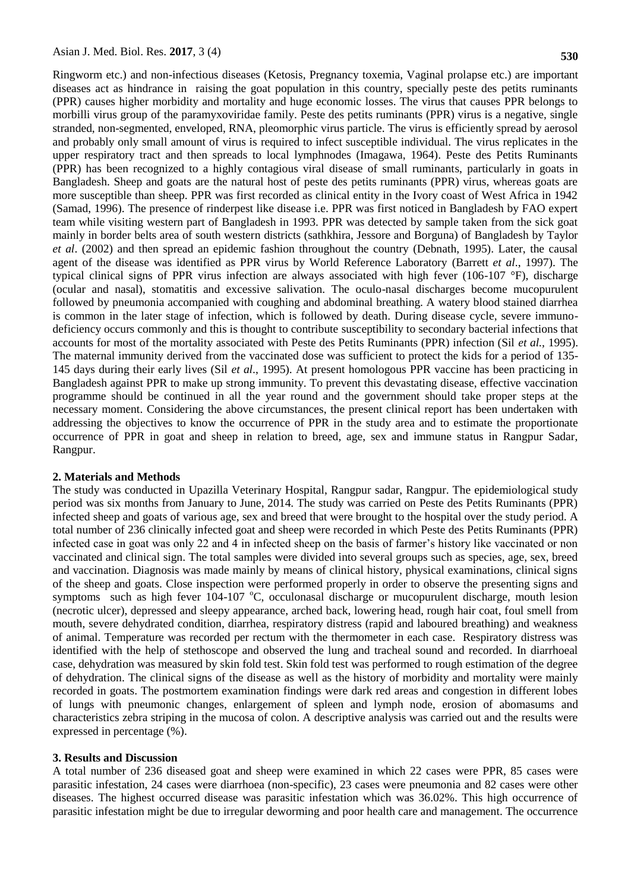Ringworm etc.) and non-infectious diseases (Ketosis, Pregnancy toxemia, Vaginal prolapse etc.) are important diseases act as hindrance in raising the goat population in this country, specially peste des petits ruminants (PPR) causes higher morbidity and mortality and huge economic losses. The virus that causes PPR belongs to morbilli virus group of the paramyxoviridae family. Peste des petits ruminants (PPR) virus is a negative, single stranded, non-segmented, enveloped, RNA, pleomorphic virus particle. The virus is efficiently spread by aerosol and probably only small amount of virus is required to infect susceptible individual. The virus replicates in the upper respiratory tract and then spreads to local lymphnodes (Imagawa, 1964). Peste des Petits Ruminants (PPR) has been recognized to a highly contagious viral disease of small ruminants, particularly in goats in Bangladesh. Sheep and goats are the natural host of peste des petits ruminants (PPR) virus, whereas goats are more susceptible than sheep. PPR was first recorded as clinical entity in the Ivory coast of West Africa in 1942 (Samad, 1996). The presence of rinderpest like disease i.e. PPR was first noticed in Bangladesh by FAO expert team while visiting western part of Bangladesh in 1993. PPR was detected by sample taken from the sick goat mainly in border belts area of south western districts (sathkhira, Jessore and Borguna) of Bangladesh by Taylor *et al*. (2002) and then spread an epidemic fashion throughout the country (Debnath, 1995). Later, the causal agent of the disease was identified as PPR virus by World Reference Laboratory (Barrett *et al*., 1997). The typical clinical signs of PPR virus infection are always associated with high fever (106-107 °F), discharge (ocular and nasal), stomatitis and excessive salivation. The oculo-nasal discharges become mucopurulent followed by pneumonia accompanied with coughing and abdominal breathing. A watery blood stained diarrhea is common in the later stage of infection, which is followed by death. During disease cycle, severe immunodeficiency occurs commonly and this is thought to contribute susceptibility to secondary bacterial infections that accounts for most of the mortality associated with Peste des Petits Ruminants (PPR) infection (Sil *et al.,* 1995). The maternal immunity derived from the vaccinated dose was sufficient to protect the kids for a period of 135- 145 days during their early lives (Sil *et al*., 1995). At present homologous PPR vaccine has been practicing in Bangladesh against PPR to make up strong immunity. To prevent this devastating disease, effective vaccination programme should be continued in all the year round and the government should take proper steps at the necessary moment. Considering the above circumstances, the present clinical report has been undertaken with addressing the objectives to know the occurrence of PPR in the study area and to estimate the proportionate occurrence of PPR in goat and sheep in relation to breed, age, sex and immune status in Rangpur Sadar, Rangpur.

#### **2. Materials and Methods**

The study was conducted in Upazilla Veterinary Hospital, Rangpur sadar, Rangpur. The epidemiological study period was six months from January to June, 2014. The study was carried on Peste des Petits Ruminants (PPR) infected sheep and goats of various age, sex and breed that were brought to the hospital over the study period. A total number of 236 clinically infected goat and sheep were recorded in which Peste des Petits Ruminants (PPR) infected case in goat was only 22 and 4 in infected sheep on the basis of farmer's history like vaccinated or non vaccinated and clinical sign. The total samples were divided into several groups such as species, age, sex, breed and vaccination. Diagnosis was made mainly by means of clinical history, physical examinations, clinical signs of the sheep and goats. Close inspection were performed properly in order to observe the presenting signs and symptoms such as high fever  $104-107$  °C, occulonasal discharge or mucopurulent discharge, mouth lesion (necrotic ulcer), depressed and sleepy appearance, arched back, lowering head, rough hair coat, foul smell from mouth, severe dehydrated condition, diarrhea, respiratory distress (rapid and laboured breathing) and weakness of animal. Temperature was recorded per rectum with the thermometer in each case. Respiratory distress was identified with the help of stethoscope and observed the lung and tracheal sound and recorded. In diarrhoeal case, dehydration was measured by skin fold test. Skin fold test was performed to rough estimation of the degree of dehydration. The clinical signs of the disease as well as the history of morbidity and mortality were mainly recorded in goats. The postmortem examination findings were dark red areas and congestion in different lobes of lungs with pneumonic changes, enlargement of spleen and lymph node, erosion of abomasums and characteristics zebra striping in the mucosa of colon. A descriptive analysis was carried out and the results were expressed in percentage (%).

### **3. Results and Discussion**

A total number of 236 diseased goat and sheep were examined in which 22 cases were PPR, 85 cases were parasitic infestation, 24 cases were diarrhoea (non-specific), 23 cases were pneumonia and 82 cases were other diseases. The highest occurred disease was parasitic infestation which was 36.02%. This high occurrence of parasitic infestation might be due to irregular deworming and poor health care and management. The occurrence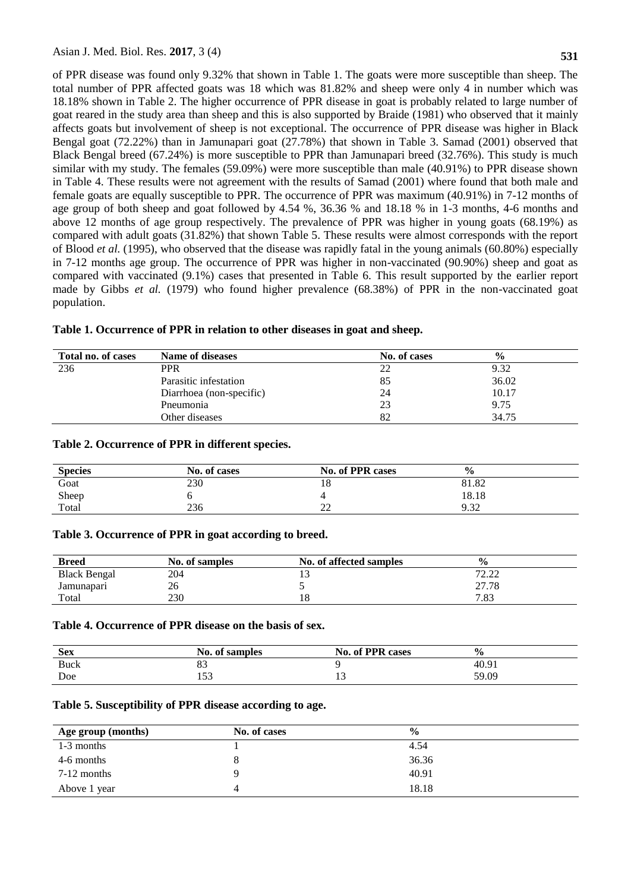of PPR disease was found only 9.32% that shown in Table 1. The goats were more susceptible than sheep. The total number of PPR affected goats was 18 which was 81.82% and sheep were only 4 in number which was 18.18% shown in Table 2. The higher occurrence of PPR disease in goat is probably related to large number of goat reared in the study area than sheep and this is also supported by Braide (1981) who observed that it mainly affects goats but involvement of sheep is not exceptional. The occurrence of PPR disease was higher in Black Bengal goat (72.22%) than in Jamunapari goat (27.78%) that shown in Table 3. Samad (2001) observed that Black Bengal breed (67.24%) is more susceptible to PPR than Jamunapari breed (32.76%). This study is much similar with my study. The females (59.09%) were more susceptible than male (40.91%) to PPR disease shown in Table 4. These results were not agreement with the results of Samad (2001) where found that both male and female goats are equally susceptible to PPR. The occurrence of PPR was maximum (40.91%) in 7-12 months of age group of both sheep and goat followed by 4.54 %, 36.36 % and 18.18 % in 1-3 months, 4-6 months and above 12 months of age group respectively. The prevalence of PPR was higher in young goats (68.19%) as compared with adult goats (31.82%) that shown Table 5. These results were almost corresponds with the report of Blood *et al.* (1995), who observed that the disease was rapidly fatal in the young animals (60.80%) especially in 7-12 months age group. The occurrence of PPR was higher in non-vaccinated (90.90%) sheep and goat as compared with vaccinated (9.1%) cases that presented in Table 6. This result supported by the earlier report made by Gibbs *et al.* (1979) who found higher prevalence (68.38%) of PPR in the non-vaccinated goat population.

| Total no. of cases | <b>Name of diseases</b>  | No. of cases | $\frac{6}{6}$ |
|--------------------|--------------------------|--------------|---------------|
| 236                | <b>PPR</b>               | 22           | 9.32          |
|                    | Parasitic infestation    | 85           | 36.02         |
|                    | Diarrhoea (non-specific) | 24           | 10.17         |
|                    | Pneumonia                | 23           | 9.75          |
|                    | Other diseases           | 82           | 34.75         |

# **Table 1. Occurrence of PPR in relation to other diseases in goat and sheep.**

### **Table 2. Occurrence of PPR in different species.**

| <b>Species</b> | No. of cases | <b>No. of PPR cases</b> | $\frac{6}{6}$ |  |
|----------------|--------------|-------------------------|---------------|--|
| Goat           | 230          | 10                      | 81.82         |  |
| Sheep          |              |                         | 18.18         |  |
| Total          | 236          | $\sim$<br>∠∠            | 9.32          |  |

### **Table 3. Occurrence of PPR in goat according to breed.**

| <b>Breed</b>        | No. of samples | No. of affected samples | $\frac{6}{9}$ |  |
|---------------------|----------------|-------------------------|---------------|--|
| <b>Black Bengal</b> | 204            |                         | 72.22<br>4.44 |  |
| Jamunapari          | 26             |                         | 27.78         |  |
| Total               | 230            | ιo                      | 7.83          |  |

## **Table 4. Occurrence of PPR disease on the basis of sex.**

| <b>Sex</b> | No. of samples | <b>No. of PPR cases</b> | $\frac{1}{2}$ |
|------------|----------------|-------------------------|---------------|
| Buck       | ບປ             |                         | 40.91         |
| Doe        | - م<br>1 J J   |                         | 59.09         |

# **Table 5. Susceptibility of PPR disease according to age.**

| Age group (months) | No. of cases | $\frac{0}{0}$ |
|--------------------|--------------|---------------|
| 1-3 months         |              | 4.54          |
| 4-6 months         |              | 36.36         |
| 7-12 months        |              | 40.91         |
| Above 1 year       | 4            | 18.18         |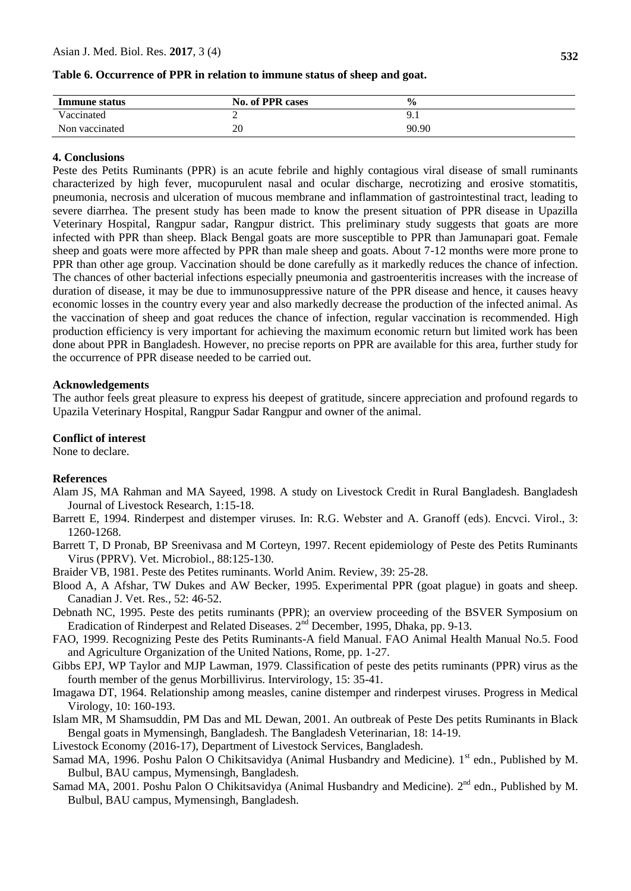## **Table 6. Occurrence of PPR in relation to immune status of sheep and goat.**

| Immune status  | <b>No. of PPR cases</b> | $\frac{0}{0}$ |
|----------------|-------------------------|---------------|
| Vaccinated     |                         | ◡             |
| Non vaccinated | 20                      | 90.90         |

# **4. Conclusions**

Peste des Petits Ruminants (PPR) is an acute febrile and highly contagious viral disease of small ruminants characterized by high fever, mucopurulent nasal and ocular discharge, necrotizing and erosive stomatitis, pneumonia, necrosis and ulceration of mucous membrane and inflammation of gastrointestinal tract, leading to severe diarrhea. The present study has been made to know the present situation of PPR disease in Upazilla Veterinary Hospital, Rangpur sadar, Rangpur district. This preliminary study suggests that goats are more infected with PPR than sheep. Black Bengal goats are more susceptible to PPR than Jamunapari goat. Female sheep and goats were more affected by PPR than male sheep and goats. About 7-12 months were more prone to PPR than other age group. Vaccination should be done carefully as it markedly reduces the chance of infection. The chances of other bacterial infections especially pneumonia and gastroenteritis increases with the increase of duration of disease, it may be due to immunosuppressive nature of the PPR disease and hence, it causes heavy economic losses in the country every year and also markedly decrease the production of the infected animal. As the vaccination of sheep and goat reduces the chance of infection, regular vaccination is recommended. High production efficiency is very important for achieving the maximum economic return but limited work has been done about PPR in Bangladesh. However, no precise reports on PPR are available for this area, further study for the occurrence of PPR disease needed to be carried out.

#### **Acknowledgements**

The author feels great pleasure to express his deepest of gratitude, sincere appreciation and profound regards to Upazila Veterinary Hospital, Rangpur Sadar Rangpur and owner of the animal.

#### **Conflict of interest**

None to declare.

# **References**

- Alam JS, MA Rahman and MA Sayeed, 1998. A study on Livestock Credit in Rural Bangladesh. Bangladesh Journal of Livestock Research*,* 1:15-18.
- Barrett E, 1994. Rinderpest and distemper viruses. In: R.G. Webster and A. Granoff (eds). Encvci. Virol., 3: 1260-1268.
- Barrett T, D Pronab, BP Sreenivasa and M Corteyn, 1997. Recent epidemiology of Peste des Petits Ruminants Virus (PPRV). Vet. Microbiol., 88:125-130.
- Braider VB, 1981. Peste des Petites ruminants. World Anim. Review*,* 39: 25-28.
- Blood A, A Afshar, TW Dukes and AW Becker, 1995. Experimental PPR (goat plague) in goats and sheep. Canadian J. Vet. Res*.,* 52: 46-52.
- Debnath NC, 1995. Peste des petits ruminants (PPR); an overview proceeding of the BSVER Symposium on Eradication of Rinderpest and Related Diseases. 2<sup>nd</sup> December, 1995, Dhaka, pp. 9-13.
- FAO, 1999. Recognizing Peste des Petits Ruminants-A field Manual. FAO Animal Health Manual No.5. Food and Agriculture Organization of the United Nations, Rome, pp. 1-27.
- Gibbs EPJ, WP Taylor and MJP Lawman, 1979. Classification of peste des petits ruminants (PPR) virus as the fourth member of the genus Morbillivirus. Intervirology*,* 15: 35-41.
- Imagawa DT, 1964. Relationship among measles, canine distemper and rinderpest viruses. Progress in Medical Virology*,* 10: 160-193.
- Islam MR, M Shamsuddin, PM Das and ML Dewan, 2001. An outbreak of Peste Des petits Ruminants in Black Bengal goats in Mymensingh, Bangladesh. The Bangladesh Veterinarian*,* 18: 14-19.

Livestock Economy (2016-17), Department of Livestock Services, Bangladesh.

- Samad MA, 1996. Poshu Palon O Chikitsavidya (Animal Husbandry and Medicine). 1<sup>st</sup> edn., Published by M. Bulbul, BAU campus, Mymensingh, Bangladesh.
- Samad MA, 2001. Poshu Palon O Chikitsavidya (Animal Husbandry and Medicine). 2<sup>nd</sup> edn., Published by M. Bulbul, BAU campus, Mymensingh, Bangladesh.